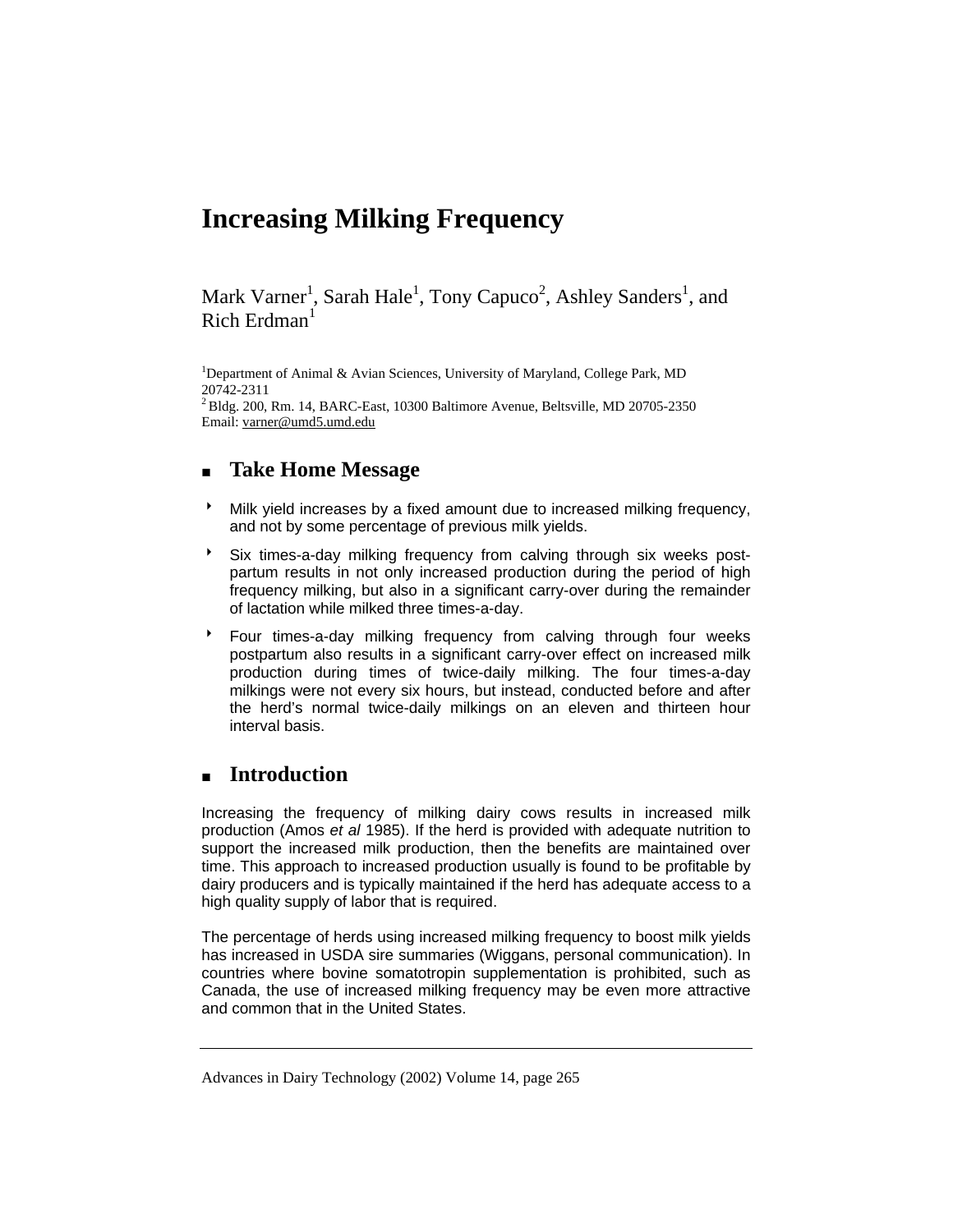# **Increasing Milking Frequency**

Mark Varner<sup>1</sup>, Sarah Hale<sup>1</sup>, Tony Capuco<sup>2</sup>, Ashley Sanders<sup>1</sup>, and Rich Erdman<sup>1</sup>

<sup>1</sup>Department of Animal & Avian Sciences, University of Maryland, College Park, MD 20742-2311  $^{2}$  Bldg. 200, Rm. 14, BARC-East, 10300 Baltimore Avenue, Beltsville, MD 20705-2350 Email: varner@umd5.umd.edu

# **Take Home Message**

- 8 Milk yield increases by a fixed amount due to increased milking frequency, and not by some percentage of previous milk yields.
- <sup>></sup> Six times-a-day milking frequency from calving through six weeks postpartum results in not only increased production during the period of high frequency milking, but also in a significant carry-over during the remainder of lactation while milked three times-a-day.
- 8 Four times-a-day milking frequency from calving through four weeks postpartum also results in a significant carry-over effect on increased milk production during times of twice-daily milking. The four times-a-day milkings were not every six hours, but instead, conducted before and after the herd's normal twice-daily milkings on an eleven and thirteen hour interval basis.

## **Introduction**

Increasing the frequency of milking dairy cows results in increased milk production (Amos *et al* 1985). If the herd is provided with adequate nutrition to support the increased milk production, then the benefits are maintained over time. This approach to increased production usually is found to be profitable by dairy producers and is typically maintained if the herd has adequate access to a high quality supply of labor that is required.

The percentage of herds using increased milking frequency to boost milk yields has increased in USDA sire summaries (Wiggans, personal communication). In countries where bovine somatotropin supplementation is prohibited, such as Canada, the use of increased milking frequency may be even more attractive and common that in the United States.

Advances in Dairy Technology (2002) Volume 14, page 265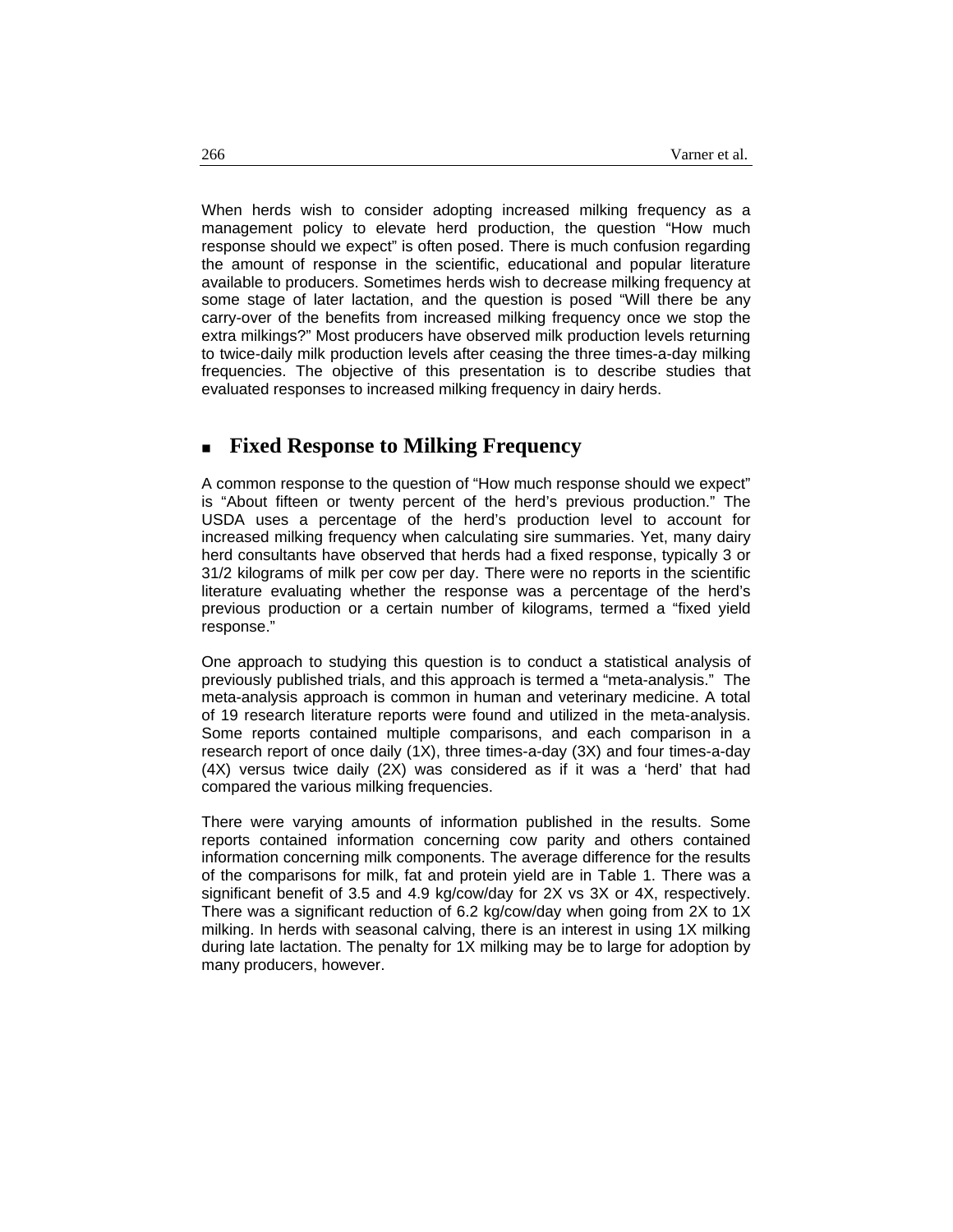When herds wish to consider adopting increased milking frequency as a management policy to elevate herd production, the question "How much response should we expect" is often posed. There is much confusion regarding the amount of response in the scientific, educational and popular literature available to producers. Sometimes herds wish to decrease milking frequency at some stage of later lactation, and the question is posed "Will there be any carry-over of the benefits from increased milking frequency once we stop the extra milkings?" Most producers have observed milk production levels returning to twice-daily milk production levels after ceasing the three times-a-day milking frequencies. The objective of this presentation is to describe studies that evaluated responses to increased milking frequency in dairy herds.

#### **Fixed Response to Milking Frequency**

A common response to the question of "How much response should we expect" is "About fifteen or twenty percent of the herd's previous production." The USDA uses a percentage of the herd's production level to account for increased milking frequency when calculating sire summaries. Yet, many dairy herd consultants have observed that herds had a fixed response, typically 3 or 31/2 kilograms of milk per cow per day. There were no reports in the scientific literature evaluating whether the response was a percentage of the herd's previous production or a certain number of kilograms, termed a "fixed yield response."

One approach to studying this question is to conduct a statistical analysis of previously published trials, and this approach is termed a "meta-analysis." The meta-analysis approach is common in human and veterinary medicine. A total of 19 research literature reports were found and utilized in the meta-analysis. Some reports contained multiple comparisons, and each comparison in a research report of once daily (1X), three times-a-day (3X) and four times-a-day (4X) versus twice daily (2X) was considered as if it was a 'herd' that had compared the various milking frequencies.

There were varying amounts of information published in the results. Some reports contained information concerning cow parity and others contained information concerning milk components. The average difference for the results of the comparisons for milk, fat and protein yield are in Table 1. There was a significant benefit of 3.5 and 4.9 kg/cow/day for 2X vs 3X or 4X, respectively. There was a significant reduction of 6.2 kg/cow/day when going from 2X to 1X milking. In herds with seasonal calving, there is an interest in using 1X milking during late lactation. The penalty for 1X milking may be to large for adoption by many producers, however.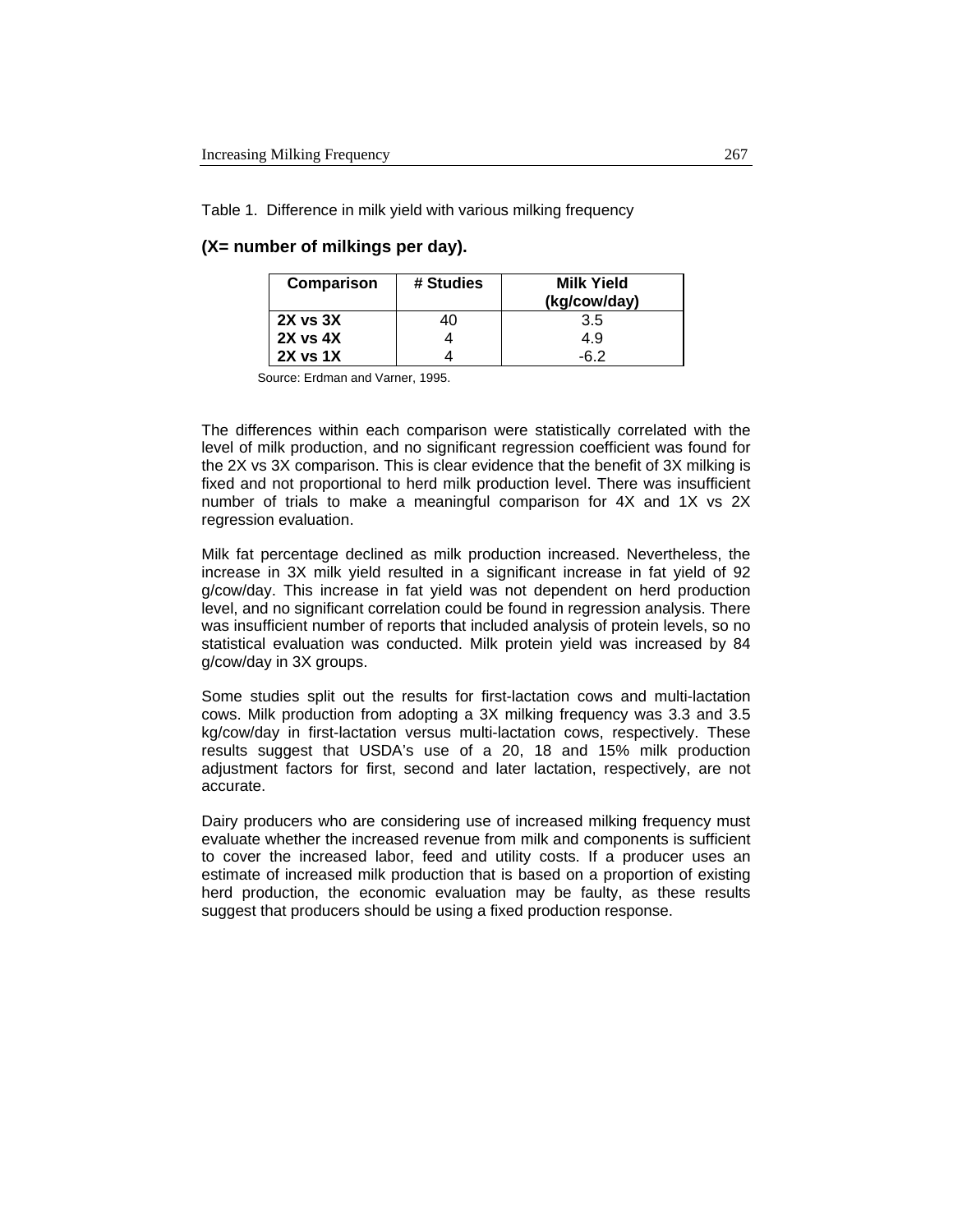Table 1. Difference in milk yield with various milking frequency

#### **(X= number of milkings per day).**

| Comparison    | # Studies | <b>Milk Yield</b><br>(kg/cow/day) |  |  |
|---------------|-----------|-----------------------------------|--|--|
| $2X$ vs $3X$  | 40        | 3.5                               |  |  |
| $2X$ vs $4X$  |           | 4.9                               |  |  |
| $2X$ vs 1 $X$ |           | -6 2                              |  |  |

Source: Erdman and Varner, 1995.

The differences within each comparison were statistically correlated with the level of milk production, and no significant regression coefficient was found for the 2X vs 3X comparison. This is clear evidence that the benefit of 3X milking is fixed and not proportional to herd milk production level. There was insufficient number of trials to make a meaningful comparison for 4X and 1X vs 2X regression evaluation.

Milk fat percentage declined as milk production increased. Nevertheless, the increase in 3X milk yield resulted in a significant increase in fat yield of 92 g/cow/day. This increase in fat yield was not dependent on herd production level, and no significant correlation could be found in regression analysis. There was insufficient number of reports that included analysis of protein levels, so no statistical evaluation was conducted. Milk protein yield was increased by 84 g/cow/day in 3X groups.

Some studies split out the results for first-lactation cows and multi-lactation cows. Milk production from adopting a 3X milking frequency was 3.3 and 3.5 kg/cow/day in first-lactation versus multi-lactation cows, respectively. These results suggest that USDA's use of a 20, 18 and 15% milk production adjustment factors for first, second and later lactation, respectively, are not accurate.

Dairy producers who are considering use of increased milking frequency must evaluate whether the increased revenue from milk and components is sufficient to cover the increased labor, feed and utility costs. If a producer uses an estimate of increased milk production that is based on a proportion of existing herd production, the economic evaluation may be faulty, as these results suggest that producers should be using a fixed production response.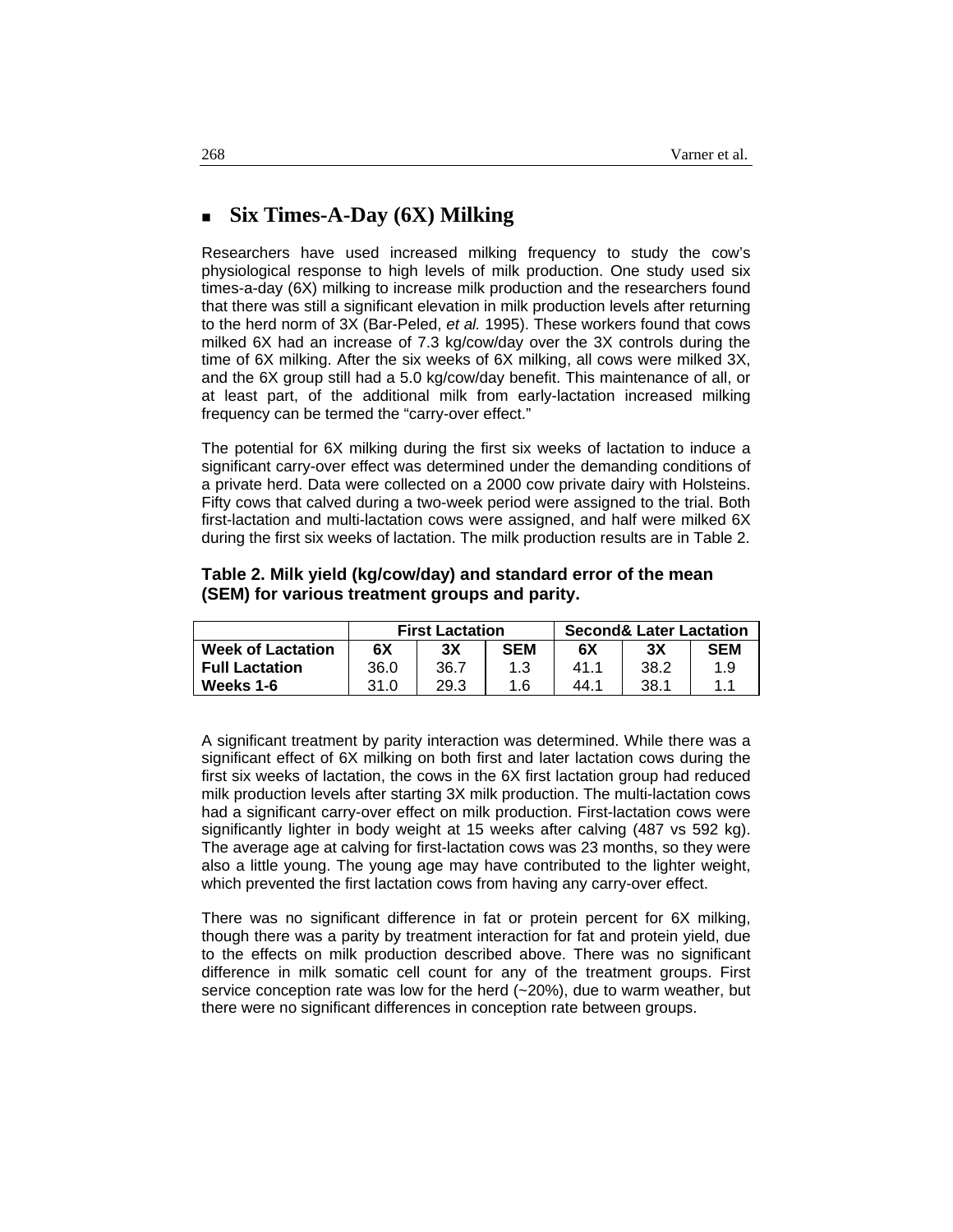### **Six Times-A-Day (6X) Milking**

Researchers have used increased milking frequency to study the cow's physiological response to high levels of milk production. One study used six times-a-day (6X) milking to increase milk production and the researchers found that there was still a significant elevation in milk production levels after returning to the herd norm of 3X (Bar-Peled, *et al.* 1995). These workers found that cows milked 6X had an increase of 7.3 kg/cow/day over the 3X controls during the time of 6X milking. After the six weeks of 6X milking, all cows were milked 3X, and the 6X group still had a 5.0 kg/cow/day benefit. This maintenance of all, or at least part, of the additional milk from early-lactation increased milking frequency can be termed the "carry-over effect."

The potential for 6X milking during the first six weeks of lactation to induce a significant carry-over effect was determined under the demanding conditions of a private herd. Data were collected on a 2000 cow private dairy with Holsteins. Fifty cows that calved during a two-week period were assigned to the trial. Both first-lactation and multi-lactation cows were assigned, and half were milked 6X during the first six weeks of lactation. The milk production results are in Table 2.

#### **Table 2. Milk yield (kg/cow/day) and standard error of the mean (SEM) for various treatment groups and parity.**

|                          | <b>First Lactation</b> |      |            | <b>Second&amp; Later Lactation</b> |      |            |
|--------------------------|------------------------|------|------------|------------------------------------|------|------------|
| <b>Week of Lactation</b> | 6Χ                     | 3Χ   | <b>SEM</b> | 6X                                 | 3X   | <b>SEM</b> |
| <b>Full Lactation</b>    | 36.0                   | 36.7 |            | 41.1                               | 38.2 | 1.9        |
| Weeks 1-6                | 31.0                   | 29.3 | 1.6        | 44.1                               | 38.1 | 11         |

A significant treatment by parity interaction was determined. While there was a significant effect of 6X milking on both first and later lactation cows during the first six weeks of lactation, the cows in the 6X first lactation group had reduced milk production levels after starting 3X milk production. The multi-lactation cows had a significant carry-over effect on milk production. First-lactation cows were significantly lighter in body weight at 15 weeks after calving (487 vs 592 kg). The average age at calving for first-lactation cows was 23 months, so they were also a little young. The young age may have contributed to the lighter weight, which prevented the first lactation cows from having any carry-over effect.

There was no significant difference in fat or protein percent for 6X milking, though there was a parity by treatment interaction for fat and protein yield, due to the effects on milk production described above. There was no significant difference in milk somatic cell count for any of the treatment groups. First service conception rate was low for the herd  $(-20%)$ , due to warm weather, but there were no significant differences in conception rate between groups.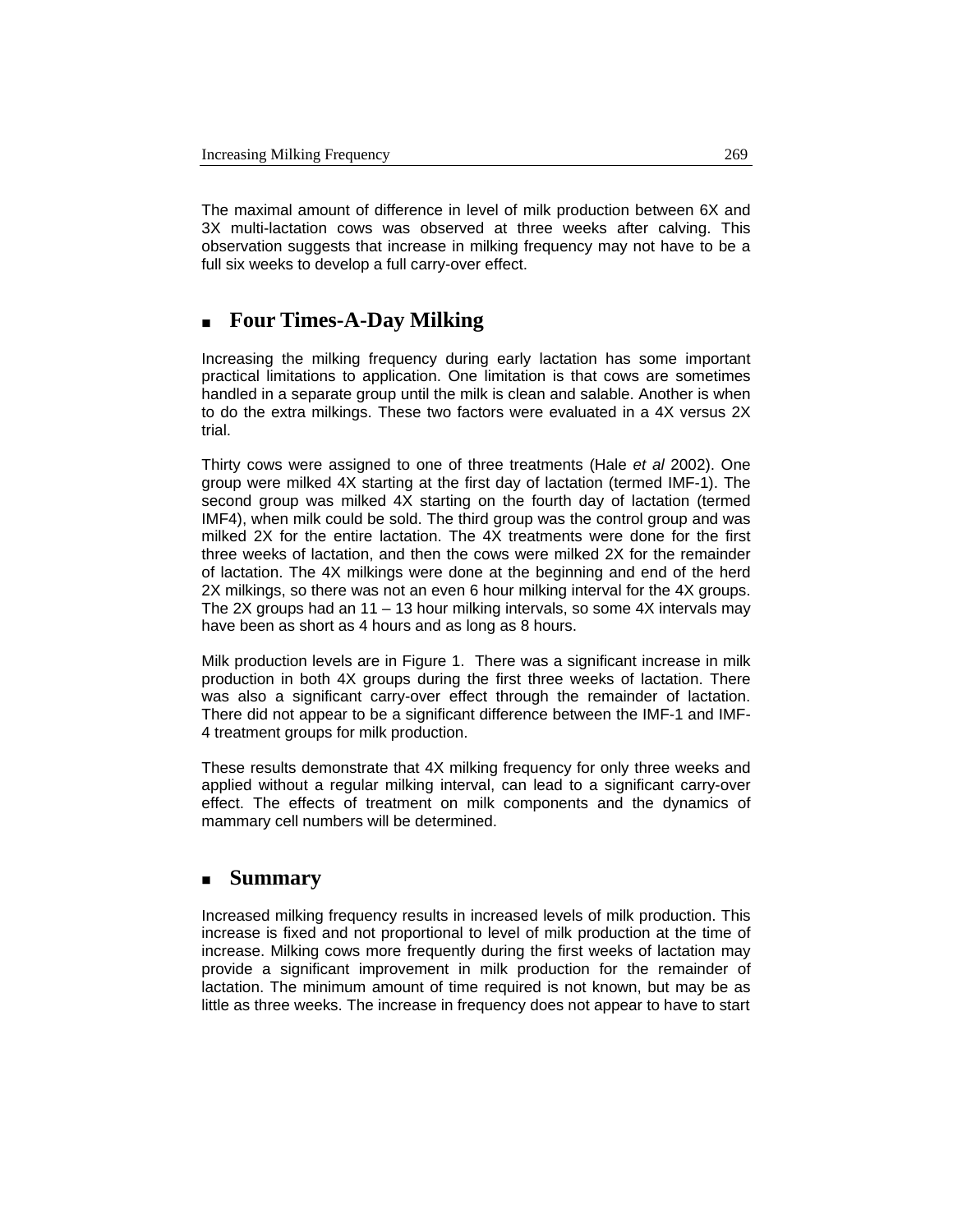The maximal amount of difference in level of milk production between 6X and 3X multi-lactation cows was observed at three weeks after calving. This observation suggests that increase in milking frequency may not have to be a full six weeks to develop a full carry-over effect.

## **Four Times-A-Day Milking**

Increasing the milking frequency during early lactation has some important practical limitations to application. One limitation is that cows are sometimes handled in a separate group until the milk is clean and salable. Another is when to do the extra milkings. These two factors were evaluated in a 4X versus 2X trial.

Thirty cows were assigned to one of three treatments (Hale *et al* 2002). One group were milked 4X starting at the first day of lactation (termed IMF-1). The second group was milked 4X starting on the fourth day of lactation (termed IMF4), when milk could be sold. The third group was the control group and was milked 2X for the entire lactation. The 4X treatments were done for the first three weeks of lactation, and then the cows were milked 2X for the remainder of lactation. The 4X milkings were done at the beginning and end of the herd 2X milkings, so there was not an even 6 hour milking interval for the 4X groups. The 2X groups had an 11 – 13 hour milking intervals, so some 4X intervals may have been as short as 4 hours and as long as 8 hours.

Milk production levels are in Figure 1. There was a significant increase in milk production in both 4X groups during the first three weeks of lactation. There was also a significant carry-over effect through the remainder of lactation. There did not appear to be a significant difference between the IMF-1 and IMF-4 treatment groups for milk production.

These results demonstrate that 4X milking frequency for only three weeks and applied without a regular milking interval, can lead to a significant carry-over effect. The effects of treatment on milk components and the dynamics of mammary cell numbers will be determined.

#### **Summary**

Increased milking frequency results in increased levels of milk production. This increase is fixed and not proportional to level of milk production at the time of increase. Milking cows more frequently during the first weeks of lactation may provide a significant improvement in milk production for the remainder of lactation. The minimum amount of time required is not known, but may be as little as three weeks. The increase in frequency does not appear to have to start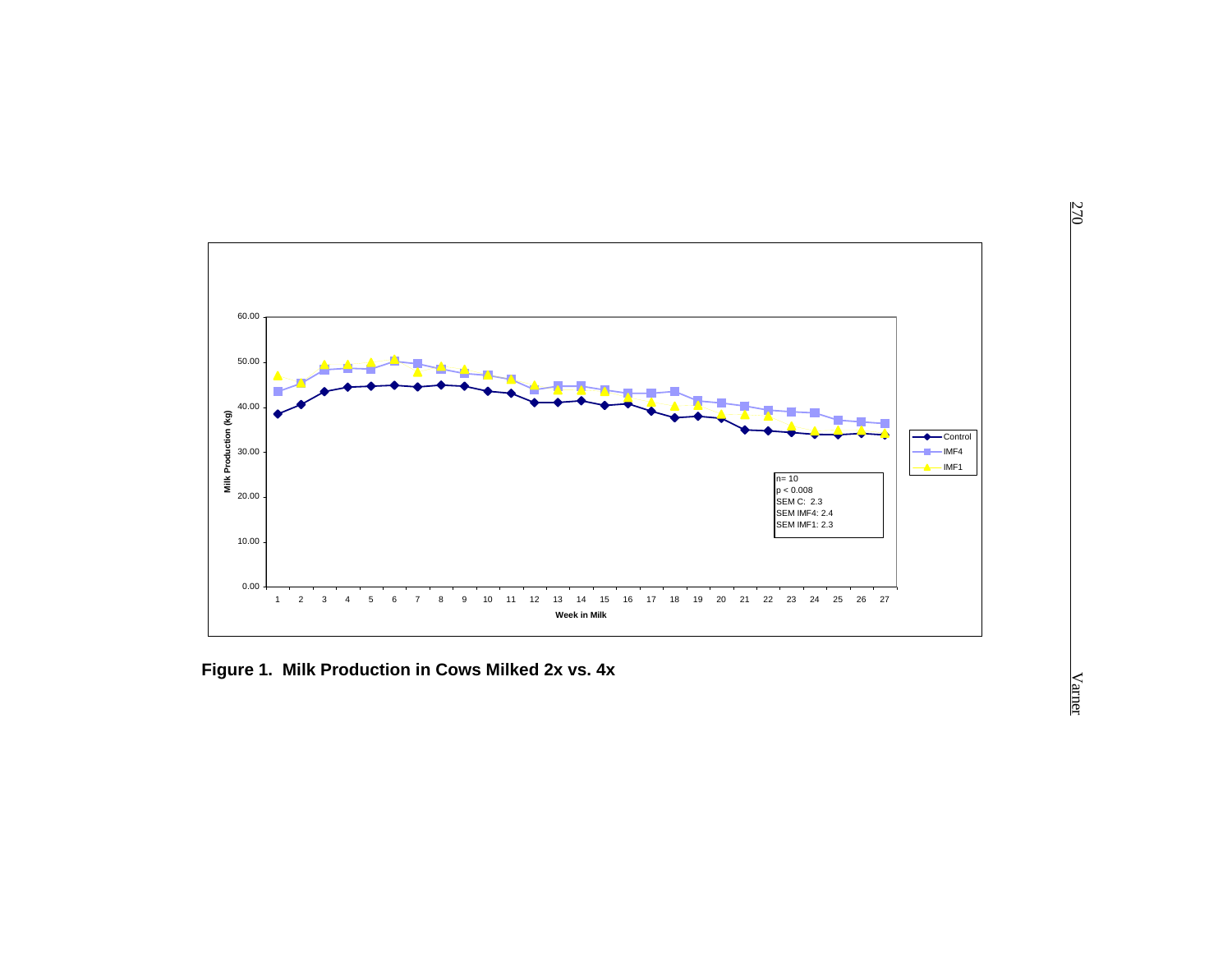

**Figure 1. Milk Production in Cows Milked 2x vs. 4x**